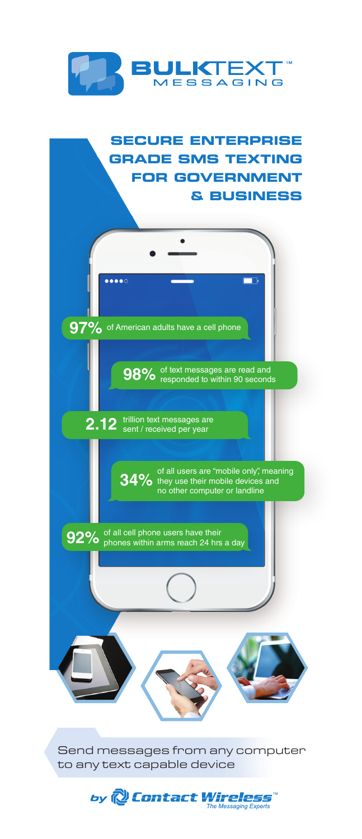

### **SECURE ENTERPRISE GRADE SMS TEXTING FOR GOVERNMENT & BUSINESS**



Send messages from any computer to any text capable device